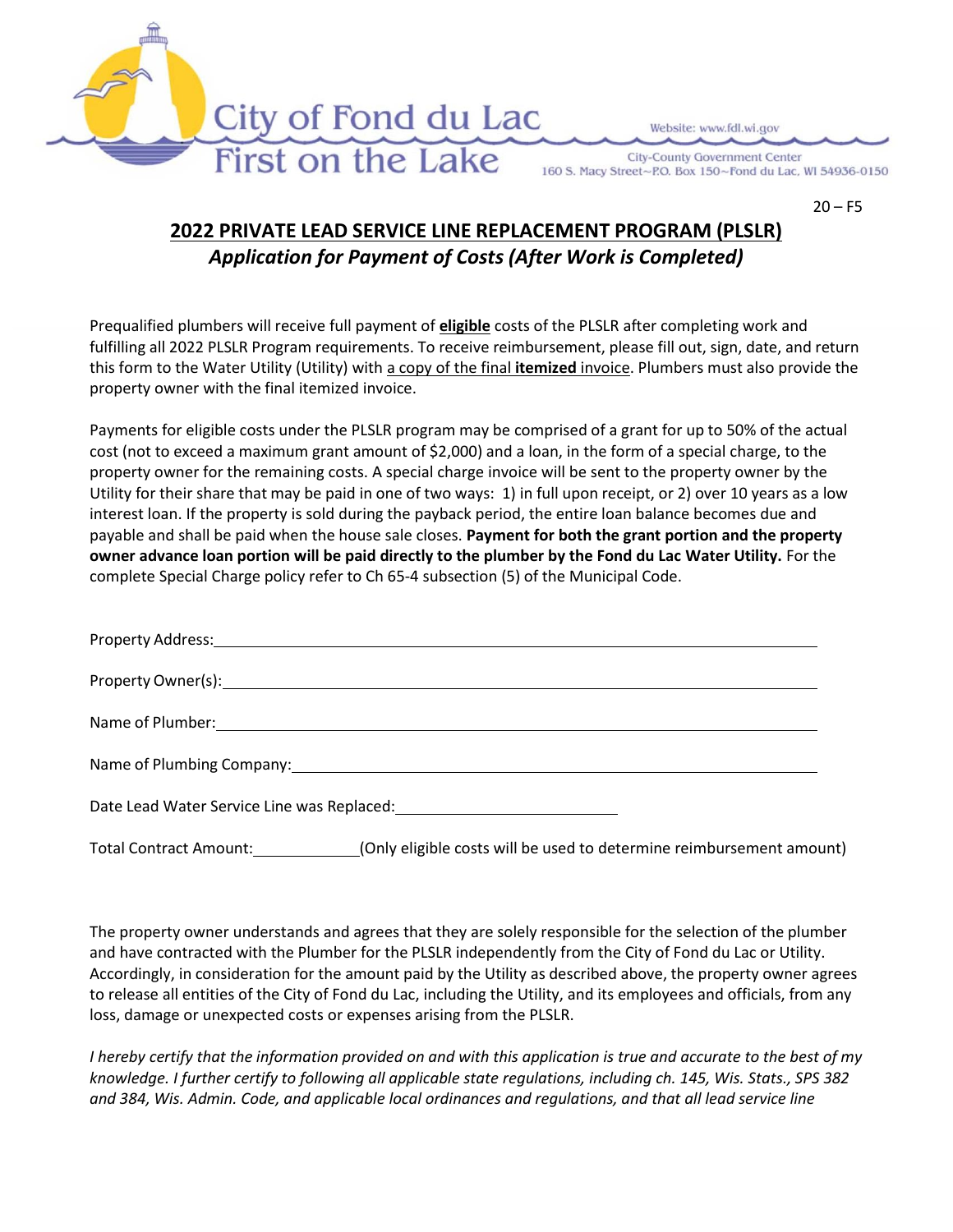

**City-County Government Center** 160 S. Macy Street~P.O. Box 150~Fond du Lac, WI 54936-0150

 $20 - F5$ 

## **2022 PRIVATE LEAD SERVICE LINE REPLACEMENT PROGRAM (PLSLR)** *Application for Payment of Costs (After Work is Completed)*

City of Fond du Lac

First on the Lake

Prequalified plumbers will receive full payment of **eligible** costs of the PLSLR after completing work and fulfilling all 2022 PLSLR Program requirements. To receive reimbursement, please fill out, sign, date, and return this form to the Water Utility (Utility) with a copy of the final **itemized** invoice. Plumbers must also provide the property owner with the final itemized invoice.

Payments for eligible costs under the PLSLR program may be comprised of a grant for up to 50% of the actual cost (not to exceed a maximum grant amount of \$2,000) and a loan, in the form of a special charge, to the property owner for the remaining costs. A special charge invoice will be sent to the property owner by the Utility for their share that may be paid in one of two ways: 1) in full upon receipt, or 2) over 10 years as a low interest loan. If the property is sold during the payback period, the entire loan balance becomes due and payable and shall be paid when the house sale closes. **Payment for both the grant portion and the property owner advance loan portion will be paid directly to the plumber by the Fond du Lac Water Utility.** For the complete Special Charge policy refer to Ch 65‐4 subsection (5) of the Municipal Code.

| Date Lead Water Service Line was Replaced: 2008 2010 2020 2021 |
|----------------------------------------------------------------|

Total Contract Amount: (Only eligible costs will be used to determine reimbursement amount)

The property owner understands and agrees that they are solely responsible for the selection of the plumber and have contracted with the Plumber for the PLSLR independently from the City of Fond du Lac or Utility. Accordingly, in consideration for the amount paid by the Utility as described above, the property owner agrees to release all entities of the City of Fond du Lac, including the Utility, and its employees and officials, from any loss, damage or unexpected costs or expenses arising from the PLSLR.

*I hereby certify that the information provided on and with this application is true and accurate to the best of my knowledge. I further certify to following all applicable state regulations, including ch. 145, Wis. Stats., SPS 382 and 384, Wis. Admin. Code, and applicable local ordinances and regulations, and that all lead service line*